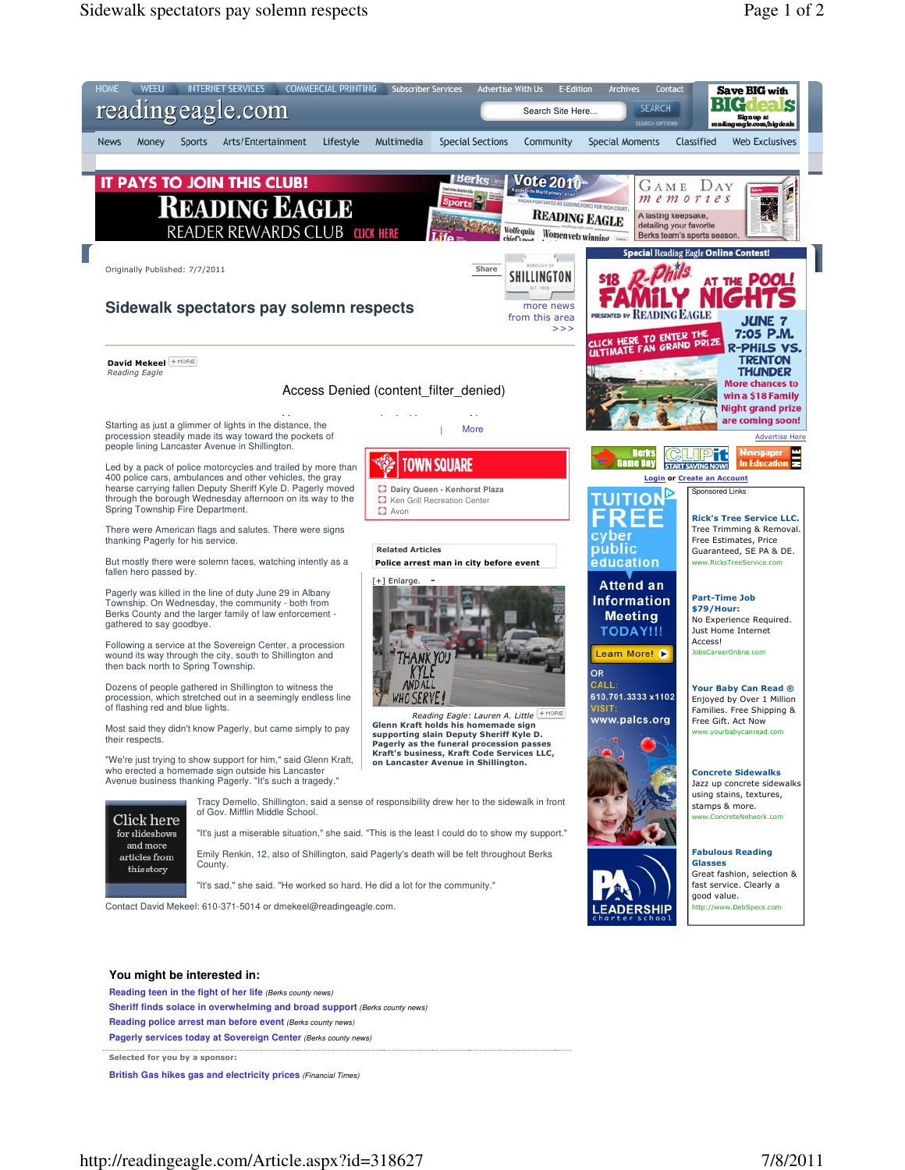

Selected for you by a sponsor:

**British Gas hikes gas and electricity prices** (Financial Times)